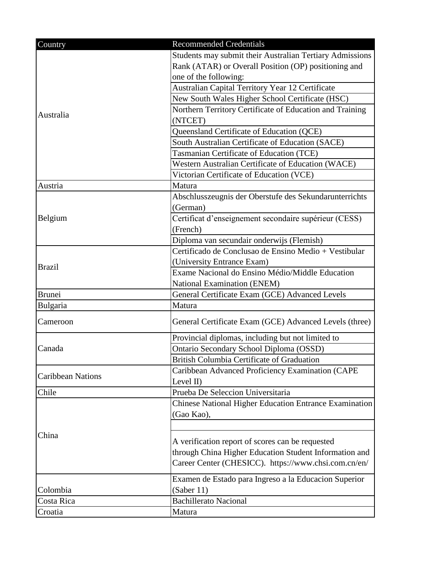| Country                  | <b>Recommended Credentials</b>                                |
|--------------------------|---------------------------------------------------------------|
|                          | Students may submit their Australian Tertiary Admissions      |
|                          | Rank (ATAR) or Overall Position (OP) positioning and          |
|                          | one of the following:                                         |
|                          | Australian Capital Territory Year 12 Certificate              |
|                          | New South Wales Higher School Certificate (HSC)               |
| Australia                | Northern Territory Certificate of Education and Training      |
|                          | (NTCET)                                                       |
|                          | Queensland Certificate of Education (QCE)                     |
|                          | South Australian Certificate of Education (SACE)              |
|                          | Tasmanian Certificate of Education (TCE)                      |
|                          | Western Australian Certificate of Education (WACE)            |
|                          | Victorian Certificate of Education (VCE)                      |
| Austria                  | Matura                                                        |
|                          | Abschlusszeugnis der Oberstufe des Sekundarunterrichts        |
|                          | (German)                                                      |
| Belgium                  | Certificat d'enseignement secondaire supérieur (CESS)         |
|                          | (French)                                                      |
|                          | Diploma van secundair onderwijs (Flemish)                     |
|                          | Certificado de Conclusao de Ensino Medio + Vestibular         |
| <b>Brazil</b>            | (University Entrance Exam)                                    |
|                          | Exame Nacional do Ensino Médio/Middle Education               |
|                          | National Examination (ENEM)                                   |
| <b>Brunei</b>            | General Certificate Exam (GCE) Advanced Levels                |
| <b>Bulgaria</b>          | Matura                                                        |
| Cameroon                 | General Certificate Exam (GCE) Advanced Levels (three)        |
| Canada                   | Provincial diplomas, including but not limited to             |
|                          | Ontario Secondary School Diploma (OSSD)                       |
|                          | British Columbia Certificate of Graduation                    |
| <b>Caribbean Nations</b> | Caribbean Advanced Proficiency Examination (CAPE              |
|                          | Level $II$ )                                                  |
| Chile                    | Prueba De Seleccion Universitaria                             |
| China                    | <b>Chinese National Higher Education Entrance Examination</b> |
|                          | (Gao Kao),                                                    |
|                          |                                                               |
|                          | A verification report of scores can be requested              |
|                          | through China Higher Education Student Information and        |
|                          | Career Center (CHESICC). https://www.chsi.com.cn/en/          |
|                          |                                                               |
|                          | Examen de Estado para Ingreso a la Educacion Superior         |
| Colombia                 | (Saber 11)                                                    |
| Costa Rica               | <b>Bachillerato Nacional</b>                                  |
| Croatia                  | Matura                                                        |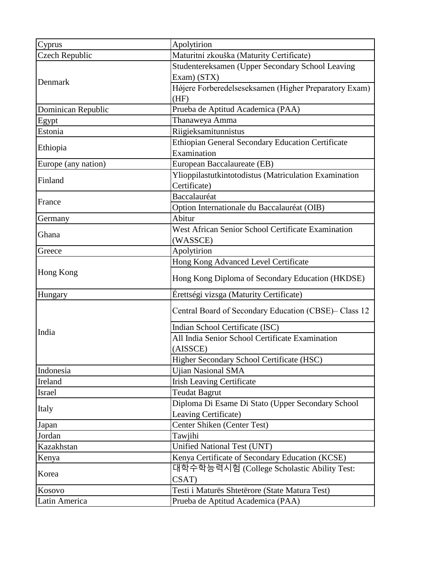| Cyprus              | Apolytirion                                            |
|---------------------|--------------------------------------------------------|
| Czech Republic      | Maturitní zkouška (Maturity Certificate)               |
| Denmark             | Studentereksamen (Upper Secondary School Leaving       |
|                     | Exam) (STX)                                            |
|                     | Højere Forberedelseseksamen (Higher Preparatory Exam)  |
|                     | (HF)                                                   |
| Dominican Republic  | Prueba de Aptitud Academica (PAA)                      |
| Egypt               | Thanaweya Amma                                         |
| Estonia             | Riigieksamitunnistus                                   |
| Ethiopia            | Ethiopian General Secondary Education Certificate      |
|                     | Examination                                            |
| Europe (any nation) | European Baccalaureate (EB)                            |
| Finland             | Ylioppilastutkintotodistus (Matriculation Examination  |
|                     | Certificate)                                           |
| France              | Baccalauréat                                           |
|                     | Option Internationale du Baccalauréat (OIB)            |
| Germany             | Abitur                                                 |
| Ghana               | West African Senior School Certificate Examination     |
|                     | (WASSCE)                                               |
| Greece              | Apolytirion                                            |
|                     | Hong Kong Advanced Level Certificate                   |
| Hong Kong           | Hong Kong Diploma of Secondary Education (HKDSE)       |
| Hungary             | Érettségi vizsga (Maturity Certificate)                |
|                     | Central Board of Secondary Education (CBSE) - Class 12 |
|                     | Indian School Certificate (ISC)                        |
| India               | All India Senior School Certificate Examination        |
|                     | (AISSCE)                                               |
|                     | Higher Secondary School Certificate (HSC)              |
| Indonesia           | <b>Ujian Nasional SMA</b>                              |
| Ireland             | <b>Irish Leaving Certificate</b>                       |
| Israel              | <b>Teudat Bagrut</b>                                   |
| Italy               | Diploma Di Esame Di Stato (Upper Secondary School      |
|                     | Leaving Certificate)                                   |
| Japan               | Center Shiken (Center Test)                            |
| Jordan              | Tawjihi                                                |
| Kazakhstan          | Unified National Test (UNT)                            |
| Kenya               | Kenya Certificate of Secondary Education (KCSE)        |
| Korea               | 대학수학능력시험 (College Scholastic Ability Test:             |
|                     | CSAT)                                                  |
| Kosovo              | Testi i Maturës Shtetërore (State Matura Test)         |
| Latin America       | Prueba de Aptitud Academica (PAA)                      |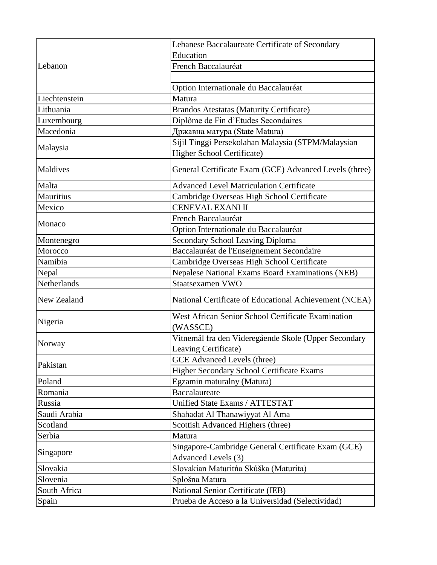| Lebanon            | Lebanese Baccalaureate Certificate of Secondary                       |
|--------------------|-----------------------------------------------------------------------|
|                    | Education                                                             |
|                    | French Baccalauréat                                                   |
|                    |                                                                       |
|                    | Option Internationale du Baccalauréat                                 |
| Liechtenstein      | Matura                                                                |
| Lithuania          | <b>Brandos Atestatas (Maturity Certificate)</b>                       |
| Luxembourg         | Diplôme de Fin d'Etudes Secondaires                                   |
| Macedonia          | Државна матура (State Matura)                                         |
| Malaysia           | Sijil Tinggi Persekolahan Malaysia (STPM/Malaysian                    |
|                    | Higher School Certificate)                                            |
| Maldives           | General Certificate Exam (GCE) Advanced Levels (three)                |
| Malta              | <b>Advanced Level Matriculation Certificate</b>                       |
| Mauritius          | Cambridge Overseas High School Certificate                            |
| Mexico             | CENEVAL EXANI II                                                      |
| Monaco             | French Baccalauréat                                                   |
|                    | Option Internationale du Baccalauréat                                 |
| Montenegro         | <b>Secondary School Leaving Diploma</b>                               |
| Morocco            | Baccalauréat de l'Enseignement Secondaire                             |
| Namibia            | Cambridge Overseas High School Certificate                            |
| Nepal              | Nepalese National Exams Board Examinations (NEB)                      |
| Netherlands        | Staatsexamen VWO                                                      |
| <b>New Zealand</b> | National Certificate of Educational Achievement (NCEA)                |
| Nigeria            | <b>West African Senior School Certificate Examination</b><br>(WASSCE) |
| Norway             | Vitnemål fra den Videregående Skole (Upper Secondary                  |
|                    | Leaving Certificate)                                                  |
| Pakistan           | <b>GCE</b> Advanced Levels (three)                                    |
|                    | <b>Higher Secondary School Certificate Exams</b>                      |
| Poland             | Egzamin maturalny (Matura)                                            |
| Romania            | Baccalaureate                                                         |
| Russia             | Unified State Exams / ATTESTAT                                        |
| Saudi Arabia       | Shahadat Al Thanawiyyat Al Ama                                        |
| Scotland           | Scottish Advanced Highers (three)                                     |
| Serbia             | Matura                                                                |
| Singapore          | Singapore-Cambridge General Certificate Exam (GCE)                    |
|                    | Advanced Levels (3)                                                   |
| Slovakia           | Slovakian Maturitńa Skúška (Maturita)                                 |
| Slovenia           | Splošna Matura                                                        |
| South Africa       | National Senior Certificate (IEB)                                     |
| Spain              | Prueba de Acceso a la Universidad (Selectividad)                      |